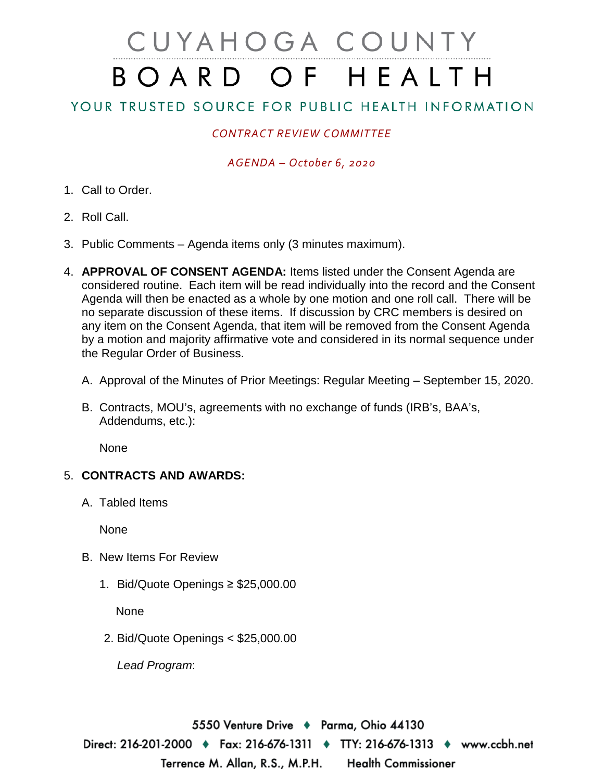# CUYAHOGA COUNTY BOARD OF HEALTH

# YOUR TRUSTED SOURCE FOR PUBLIC HEALTH INFORMATION

## *CONTRACT REVIEW COMMITTEE*

#### *AGENDA – October 6, 2020*

- 1. Call to Order.
- 2. Roll Call.
- 3. Public Comments Agenda items only (3 minutes maximum).
- 4. **APPROVAL OF CONSENT AGENDA:** Items listed under the Consent Agenda are considered routine. Each item will be read individually into the record and the Consent Agenda will then be enacted as a whole by one motion and one roll call. There will be no separate discussion of these items. If discussion by CRC members is desired on any item on the Consent Agenda, that item will be removed from the Consent Agenda by a motion and majority affirmative vote and considered in its normal sequence under the Regular Order of Business.
	- A. Approval of the Minutes of Prior Meetings: Regular Meeting September 15, 2020.
	- B. Contracts, MOU's, agreements with no exchange of funds (IRB's, BAA's, Addendums, etc.):

**None** 

### 5. **CONTRACTS AND AWARDS:**

A. Tabled Items

None

- B. New Items For Review
	- 1. Bid/Quote Openings ≥ \$25,000.00

None

2. Bid/Quote Openings < \$25,000.00

*Lead Program*:

5550 Venture Drive ♦ Parma, Ohio 44130 Direct: 216-201-2000 ♦ Fax: 216-676-1311 ♦ TTY: 216-676-1313 ♦ www.ccbh.net Terrence M. Allan, R.S., M.P.H. **Health Commissioner**